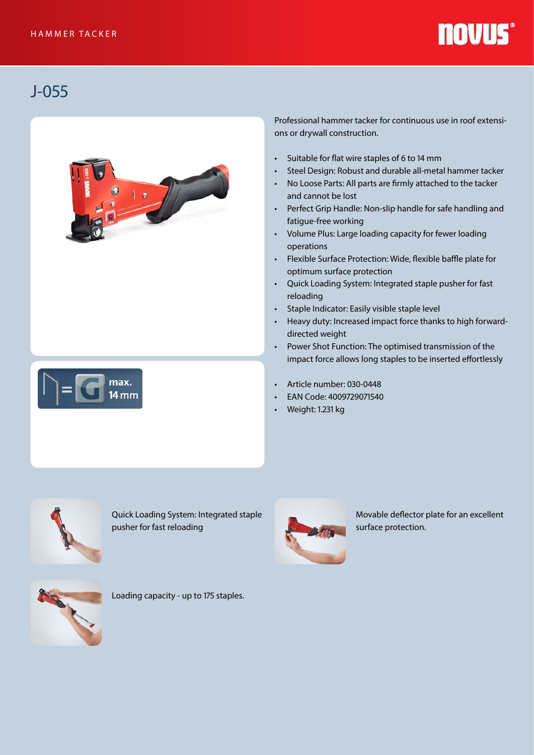## **NOVUS®**

## J-055





Professional hammer tacker for continuous use in roof extensions or drywall construction.

- Suitable for flat wire staples of 6 to 14 mm
- Steel Design: Robust and durable all-metal hammer tacker
- No Loose Parts: All parts are firmly attached to the tacker and cannot be lost
- Perfect Grip Handle: Non-slip handle for safe handling and fatigue-free working
- Volume Plus: Large loading capacity for fewer loading operations
- Flexible Surface Protection: Wide, flexible baffle plate for optimum surface protection
- Quick Loading System: Integrated staple pusher for fast reloading
- Staple Indicator: Easily visible staple level
- Heavy duty: Increased impact force thanks to high forwarddirected weight
- Power Shot Function: The optimised transmission of the impact force allows long staples to be inserted effortlessly
- Article number: 030-0448
- EAN Code: 4009729071540
- Weight: 1.231 kg



Quick Loading System: Integrated staple pusher for fast reloading



Movable deflector plate for an excellent surface protection.



Loading capacity - up to 175 staples.